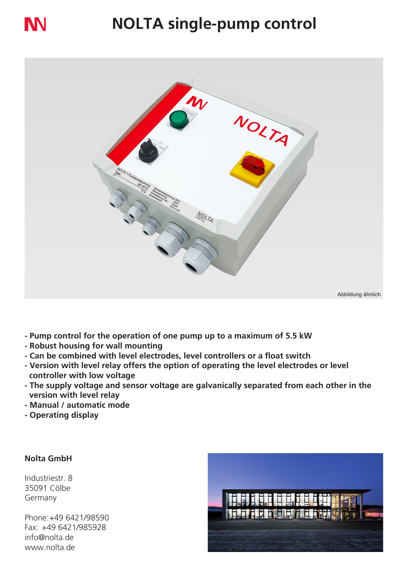# **NN**

## **NOLTA single-pump control**



- **Pump control for the operation of one pump up to a maximum of 5.5 kW**
- **Robust housing for wall mounting**
- **Can be combined with level electrodes, level controllers or a float switch**
- **Version with level relay offers the option of operating the level electrodes or level controller with low voltage**
- **The supply voltage and sensor voltage are galvanically separated from each other in the version with level relay**
- **Manual / automatic mode**
- **Operating display**

### **Nolta GmbH**

Industriestr. 8 35091 Cölbe Germany

Phone:+49 6421/98590 Fax: +49 6421/985928 info@nolta.de www.nolta.de